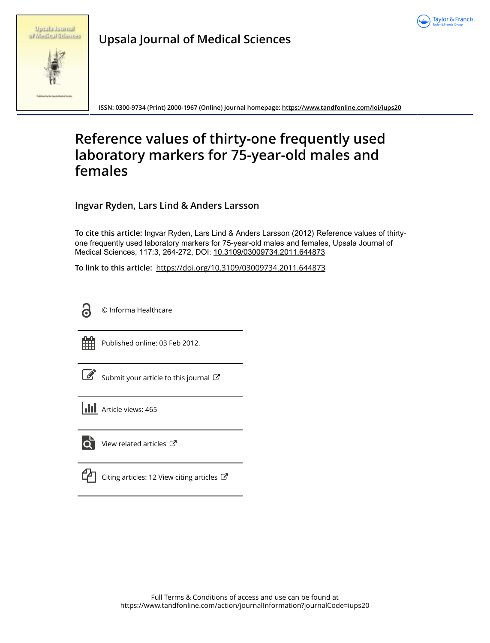

|  | <b>Spraha</b> Russiana |
|--|------------------------|
|  | of Madical Sciences    |

**Upsala Journal of Medical Sciences**

**ISSN: 0300-9734 (Print) 2000-1967 (Online) Journal homepage:<https://www.tandfonline.com/loi/iups20>**

# **Reference values of thirty-one frequently used laboratory markers for 75-year-old males and females**

**Ingvar Ryden, Lars Lind & Anders Larsson**

**To cite this article:** Ingvar Ryden, Lars Lind & Anders Larsson (2012) Reference values of thirtyone frequently used laboratory markers for 75-year-old males and females, Upsala Journal of Medical Sciences, 117:3, 264-272, DOI: [10.3109/03009734.2011.644873](https://www.tandfonline.com/action/showCitFormats?doi=10.3109/03009734.2011.644873)

**To link to this article:** <https://doi.org/10.3109/03009734.2011.644873>



© Informa Healthcare



Published online: 03 Feb 2012.

[Submit your article to this journal](https://www.tandfonline.com/action/authorSubmission?journalCode=iups20&show=instructions)  $\mathbb{Z}$ 

| <b>III</b> Article views: 465 |  |
|-------------------------------|--|
|-------------------------------|--|



 $\overrightarrow{Q}$  [View related articles](https://www.tandfonline.com/doi/mlt/10.3109/03009734.2011.644873)  $\overrightarrow{C}$ 

g articles: 12 View citing articles  $\varnothing$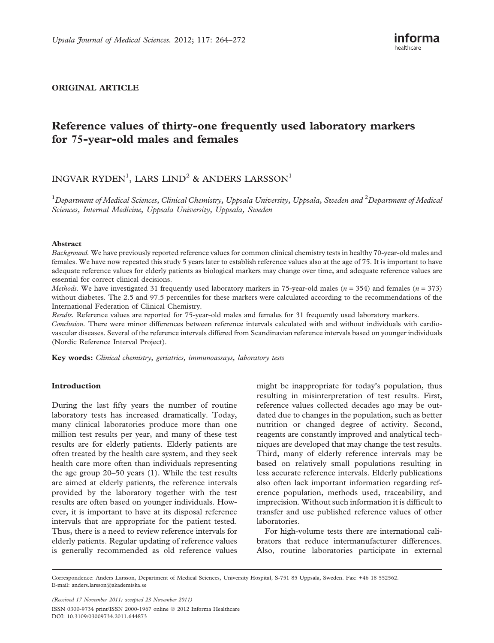## ORIGINAL ARTICLE

# Reference values of thirty-one frequently used laboratory markers for 75-year-old males and females

# INGVAR RYDEN $^{\rm l}$ , LARS LIND $^{\rm 2}$  & ANDERS LARSSON $^{\rm l}$

 $^1$ Department of Medical Sciences, Clinical Chemistry, Uppsala University, Uppsala, Sweden and  $^2$ Department of Medical Sciences, Internal Medicine, Uppsala University, Uppsala, Sweden

#### Abstract

Background. We have previously reported reference values for common clinical chemistry tests in healthy 70-year-old males and females. We have now repeated this study 5 years later to establish reference values also at the age of 75. It is important to have adequate reference values for elderly patients as biological markers may change over time, and adequate reference values are essential for correct clinical decisions.

*Methods.* We have investigated 31 frequently used laboratory markers in 75-year-old males ( $n = 354$ ) and females ( $n = 373$ ) without diabetes. The 2.5 and 97.5 percentiles for these markers were calculated according to the recommendations of the International Federation of Clinical Chemistry.

Results. Reference values are reported for 75-year-old males and females for 31 frequently used laboratory markers.

Conclusion. There were minor differences between reference intervals calculated with and without individuals with cardiovascular diseases. Several of the reference intervals differed from Scandinavian reference intervals based on younger individuals (Nordic Reference Interval Project).

Key words: Clinical chemistry, geriatrics, immunoassays, laboratory tests

#### Introduction

During the last fifty years the number of routine laboratory tests has increased dramatically. Today, many clinical laboratories produce more than one million test results per year, and many of these test results are for elderly patients. Elderly patients are often treated by the health care system, and they seek health care more often than individuals representing the age group 20–50 years (1). While the test results are aimed at elderly patients, the reference intervals provided by the laboratory together with the test results are often based on younger individuals. However, it is important to have at its disposal reference intervals that are appropriate for the patient tested. Thus, there is a need to review reference intervals for elderly patients. Regular updating of reference values is generally recommended as old reference values

might be inappropriate for today's population, thus resulting in misinterpretation of test results. First, reference values collected decades ago may be outdated due to changes in the population, such as better nutrition or changed degree of activity. Second, reagents are constantly improved and analytical techniques are developed that may change the test results. Third, many of elderly reference intervals may be based on relatively small populations resulting in less accurate reference intervals. Elderly publications also often lack important information regarding reference population, methods used, traceability, and imprecision. Without such information it is difficult to transfer and use published reference values of other laboratories.

For high-volume tests there are international calibrators that reduce intermanufacturer differences. Also, routine laboratories participate in external

(Received 17 November 2011; accepted 23 November 2011) ISSN 0300-9734 print/ISSN 2000-1967 online © 2012 Informa Healthcare<br>DOL: 10.3100/03000734.2011.644973 DOI: 10.3109/03009734.2011.644873

Correspondence: Anders Larsson, Department of Medical Sciences, University Hospital, S-751 85 Uppsala, Sweden. Fax: +46 18 552562. E-mail: anders.larsson@akademiska.se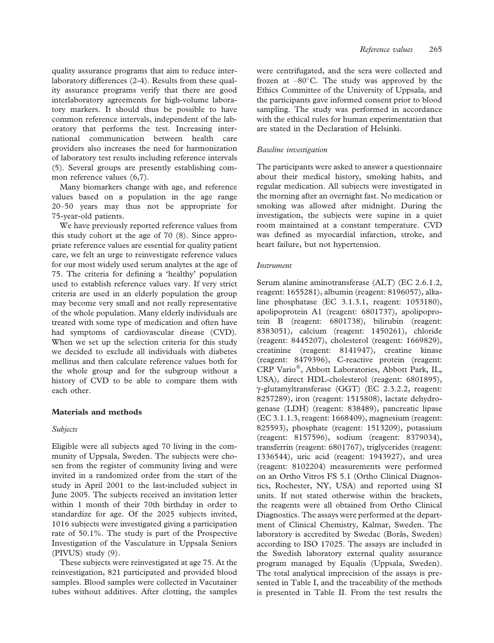quality assurance programs that aim to reduce interlaboratory differences (2-4). Results from these quality assurance programs verify that there are good interlaboratory agreements for high-volume laboratory markers. It should thus be possible to have common reference intervals, independent of the laboratory that performs the test. Increasing international communication between health care providers also increases the need for harmonization of laboratory test results including reference intervals (5). Several groups are presently establishing common reference values (6,7).

Many biomarkers change with age, and reference values based on a population in the age range 20–50 years may thus not be appropriate for 75-year-old patients.

We have previously reported reference values from this study cohort at the age of 70 (8). Since appropriate reference values are essential for quality patient care, we felt an urge to reinvestigate reference values for our most widely used serum analytes at the age of 75. The criteria for defining a 'healthy' population used to establish reference values vary. If very strict criteria are used in an elderly population the group may become very small and not really representative of the whole population. Many elderly individuals are treated with some type of medication and often have had symptoms of cardiovascular disease (CVD). When we set up the selection criteria for this study we decided to exclude all individuals with diabetes mellitus and then calculate reference values both for the whole group and for the subgroup without a history of CVD to be able to compare them with each other.

## Materials and methods

## Subjects

Eligible were all subjects aged 70 living in the community of Uppsala, Sweden. The subjects were chosen from the register of community living and were invited in a randomized order from the start of the study in April 2001 to the last-included subject in June 2005. The subjects received an invitation letter within 1 month of their 70th birthday in order to standardize for age. Of the 2025 subjects invited, 1016 subjects were investigated giving a participation rate of 50.1%. The study is part of the Prospective Investigation of the Vasculature in Uppsala Seniors (PIVUS) study (9).

These subjects were reinvestigated at age 75. At the reinvestigation, 821 participated and provided blood samples. Blood samples were collected in Vacutainer tubes without additives. After clotting, the samples

were centrifugated, and the sera were collected and frozen at  $-80^{\circ}$ C. The study was approved by the Ethics Committee of the University of Uppsala, and the participants gave informed consent prior to blood sampling. The study was performed in accordance with the ethical rules for human experimentation that are stated in the Declaration of Helsinki.

## Baseline investigation

The participants were asked to answer a questionnaire about their medical history, smoking habits, and regular medication. All subjects were investigated in the morning after an overnight fast. No medication or smoking was allowed after midnight. During the investigation, the subjects were supine in a quiet room maintained at a constant temperature. CVD was defined as myocardial infarction, stroke, and heart failure, but not hypertension.

#### Instrument

Serum alanine aminotransferase (ALT) (EC 2.6.1.2, reagent: 1655281), albumin (reagent: 8196057), alkaline phosphatase (EC 3.1.3.1, reagent: 1053180), apolipoprotein A1 (reagent: 6801737), apolipoprotein B (reagent: 6801738), bilirubin (reagent: 8383051), calcium (reagent: 1450261), chloride (reagent: 8445207), cholesterol (reagent: 1669829), creatinine (reagent: 8141947), creatine kinase (reagent: 8479396), C-reactive protein (reagent: CRP Vario®, Abbott Laboratories, Abbott Park, IL, USA), direct HDL-cholesterol (reagent: 6801895), g-glutamyltransferase (GGT) (EC 2.3.2.2, reagent: 8257289), iron (reagent: 1515808), lactate dehydrogenase (LDH) (reagent: 838489), pancreatic lipase (EC 3.1.1.3, reagent: 1668409), magnesium (reagent: 825593), phosphate (reagent: 1513209), potassium (reagent: 8157596), sodium (reagent: 8379034), transferrin (reagent: 6801767), triglycerides (reagent: 1336544), uric acid (reagent: 1943927), and urea (reagent: 8102204) measurements were performed on an Ortho Vitros FS 5.1 (Ortho Clinical Diagnostics, Rochester, NY, USA) and reported using SI units. If not stated otherwise within the brackets, the reagents were all obtained from Ortho Clinical Diagnostics. The assays were performed at the department of Clinical Chemistry, Kalmar, Sweden. The laboratory is accredited by Swedac (Borås, Sweden) according to ISO 17025. The assays are included in the Swedish laboratory external quality assurance program managed by Equalis (Uppsala, Sweden). The total analytical imprecision of the assays is presented in Table I, and the traceability of the methods is presented in Table II. From the test results the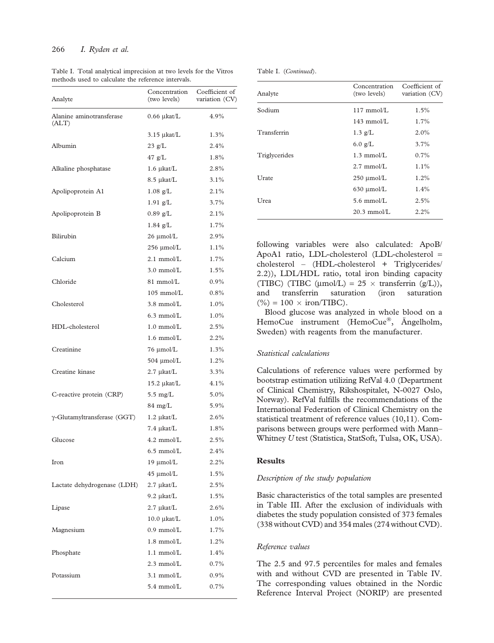Table I. Total analytical imprecision at two levels for the Vitros methods used to calculate the reference intervals.

| Analyte                           | Concentration<br>(two levels) | Coefficient of<br>variation (CV) |
|-----------------------------------|-------------------------------|----------------------------------|
| Alanine aminotransferase<br>(ALT) | $0.66$ $\mu$ kat/L            | 4.9%                             |
|                                   | $3.15$ $\mu$ kat/L            | 1.3%                             |
| Albumin                           | $23 \text{ g/L}$              | 2.4%                             |
|                                   | $47 \text{ g/L}$              | 1.8%                             |
| Alkaline phosphatase              | $1.6 \mu \text{kat/L}$        | 2.8%                             |
|                                   | $8.5$ $\mu$ kat/L             | 3.1%                             |
| Apolipoprotein A1                 | $1.08$ g/L                    | 2.1%                             |
|                                   | $1.91 \text{ g/L}$            | 3.7%                             |
| Apolipoprotein B                  | $0.89 \text{ g/L}$            | $2.1\%$                          |
|                                   | $1.84$ g/L                    | 1.7%                             |
| <b>Bilirubin</b>                  | 26 µmol/L                     | 2.9%                             |
|                                   | $256 \mu$ mol/L               | $1.1\%$                          |
| Calcium                           | $2.1 \text{ mmol/L}$          | 1.7%                             |
|                                   | $3.0 \text{ mmol/L}$          | 1.5%                             |
| Chloride                          | 81 mmol/L                     | $0.9\%$                          |
|                                   | $105$ mmol/L                  | 0.8%                             |
| Cholesterol                       | $3.8 \text{ mmol/L}$          | 1.0%                             |
|                                   | $6.3$ mmol/L                  | 1.0%                             |
| HDL-cholesterol                   | $1.0$ mmol/ $L$               | 2.5%                             |
|                                   | $1.6$ mmol/ $L$               | 2.2%                             |
| Creatinine                        | 76 µmol/L                     | 1.3%                             |
|                                   | 504 $\mu$ mol/L               | 1.2%                             |
| Creatine kinase                   | 2.7 µkat/L                    | $3.3\%$                          |
|                                   | $15.2 \mu \text{kat}/L$       | 4.1%                             |
| C-reactive protein (CRP)          | 5.5 mg/ $L$                   | $5.0\%$                          |
|                                   | $84 \text{ mg/L}$             | 5.9%                             |
| γ-Glutamyltransferase (GGT)       | $1.2 \mu \text{kat}/L$        | 2.6%                             |
|                                   | 7.4 $\mu$ kat/L               | 1.8%                             |
| Glucose                           | $4.2 \text{ mmol/L}$          | 2.5%                             |
|                                   | $6.5$ mmol/ $L$               | 2.4%                             |
| Iron                              | 19 μmol/L                     | 2.2%                             |
|                                   | 45 µmol/L                     | 1.5%                             |
| Lactate dehydrogenase (LDH)       | $2.7 \mu \text{kat}/\text{L}$ | 2.5%                             |
|                                   | $9.2$ $\mu$ kat/L             | 1.5%                             |
| Lipase                            | $2.7 \mu \text{kat}/\text{L}$ | 2.6%                             |
|                                   | $10.0 \mu \text{kat/L}$       | 1.0%                             |
| Magnesium                         | $0.9$ mmol/L                  | 1.7%                             |
|                                   | $1.8 \text{ mmol/L}$          | 1.2%                             |
| Phosphate                         | $1.1 \text{ mmol/L}$          | 1.4%                             |
|                                   | $2.3 \text{ mmol/L}$          | 0.7%                             |
| Potassium                         | $3.1 \text{ mmol/L}$          | $0.9\%$                          |
|                                   | $5.4 \text{ mmol/L}$          | 0.7%                             |
|                                   |                               |                                  |

| Analyte       | Concentration<br>(two levels) | Coefficient of<br>variation (CV) |
|---------------|-------------------------------|----------------------------------|
| Sodium        | $117 \text{ mmol/L}$          | $1.5\%$                          |
|               | $143 \text{ mmol/L}$          | 1.7%                             |
| Transferrin   | $1.3 \text{ g/L}$             | 2.0%                             |
|               | $6.0 \text{ g/L}$             | 3.7%                             |
| Triglycerides | $1.3 \text{ mmol/L}$          | $0.7\%$                          |
|               | $2.7 \text{ mmol/L}$          | $1.1\%$                          |
| Urate         | $250 \mu$ mol/L               | 1.2%                             |
|               | $630 \mu$ mol/L               | 1.4%                             |
| Urea          | $5.6 \text{ mmol/L}$          | $2.5\%$                          |
|               | $20.3$ mmol/L.                | $2.2\%$                          |

following variables were also calculated: ApoB/ ApoA1 ratio, LDL-cholesterol (LDL-cholesterol = cholesterol – (HDL-cholesterol + Triglycerides/ 2.2)), LDL/HDL ratio, total iron binding capacity (TIBC) (TIBC ( $\mu$ mol/L) = 25 × transferrin ( $g$ /L)), and transferrin saturation (iron saturation saturation  $(\%) = 100 \times \text{iron/TIBC}$ .

Blood glucose was analyzed in whole blood on a HemoCue instrument (HemoCue®, Ängelholm, Sweden) with reagents from the manufacturer.

#### Statistical calculations

Calculations of reference values were performed by bootstrap estimation utilizing RefVal 4.0 (Department of Clinical Chemistry, Rikshospitalet, N-0027 Oslo, Norway). RefVal fulfills the recommendations of the International Federation of Clinical Chemistry on the statistical treatment of reference values (10,11). Comparisons between groups were performed with Mann– Whitney U test (Statistica, StatSoft, Tulsa, OK, USA).

## Results

#### Description of the study population

Basic characteristics of the total samples are presented in Table III. After the exclusion of individuals with diabetes the study population consisted of 373 females (338 without CVD) and 354 males (274 without CVD).

#### Reference values

The 2.5 and 97.5 percentiles for males and females with and without CVD are presented in Table IV. The corresponding values obtained in the Nordic Reference Interval Project (NORIP) are presented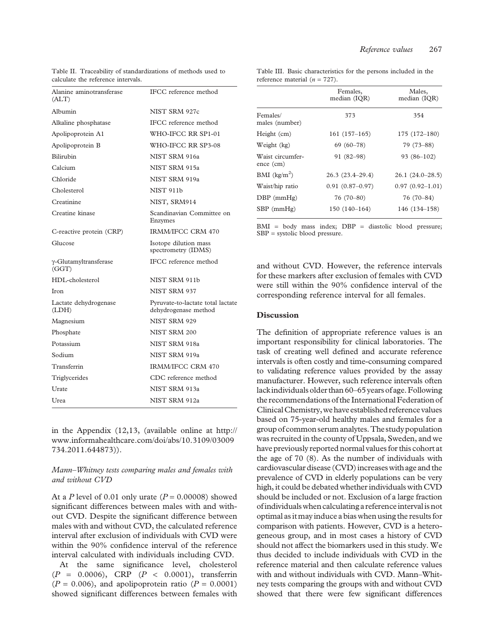| Alanine aminotransferase<br>(ALT) | IFCC reference method                                     |
|-----------------------------------|-----------------------------------------------------------|
| Albumin                           | NIST SRM 927c                                             |
| Alkaline phosphatase              | IFCC reference method                                     |
| Apolipoprotein A1                 | WHO-IFCC RR SP1-01                                        |
| Apolipoprotein B                  | WHO-IFCC RR SP3-08                                        |
| <b>Bilirubin</b>                  | NIST SRM 916a                                             |
| Calcium                           | NIST SRM 915a                                             |
| Chloride                          | NIST SRM 919a                                             |
| Cholesterol                       | <b>NIST 911b</b>                                          |
| Creatinine                        | NIST, SRM914                                              |
| Creatine kinase                   | Scandinavian Committee on<br>Enzymes                      |
| C-reactive protein (CRP)          | <b>IRMM/IFCC CRM 470</b>                                  |
| Glucose                           | Isotope dilution mass<br>spectrometry (IDMS)              |
| γ-Glutamyltransferase<br>(GGT)    | IFCC reference method                                     |
| HDI-cholesterol                   | NIST SRM 911b                                             |
| Iron                              | NIST SRM 937                                              |
| Lactate dehydrogenase<br>(LDH)    | Pyruvate-to-lactate total lactate<br>dehydrogenase method |
| Magnesium                         | <b>NIST SRM 929</b>                                       |
| Phosphate                         | NIST SRM 200                                              |
| Potassium                         | NIST SRM 918a                                             |
| Sodium                            | NIST SRM 919a                                             |
| Transferrin                       | IRMM/IFCC CRM 470                                         |
| Triglycerides                     | CDC reference method                                      |
| Urate                             | NIST SRM 913a                                             |
| Urea                              | NIST SRM 912a                                             |

Table II. Traceability of standardizations of methods used to calculate the reference intervals.

in the Appendix (12,13, (available online at http:// www.informahealthcare.com/doi/abs/10.3109/03009 734.2011.644873)).

### Mann–Whitney tests comparing males and females with and without CVD

At a P level of 0.01 only urate  $(P = 0.00008)$  showed significant differences between males with and without CVD. Despite the significant difference between males with and without CVD, the calculated reference interval after exclusion of individuals with CVD were within the 90% confidence interval of the reference interval calculated with individuals including CVD.

At the same significance level, cholesterol  $(P = 0.0006)$ , CRP  $(P < 0.0001)$ , transferrin  $(P = 0.006)$ , and apolipoprotein ratio  $(P = 0.0001)$ showed significant differences between females with

Table III. Basic characteristics for the persons included in the reference material  $(n = 727)$ .

|                               | Females,<br>median (IOR) | Males,<br>median (IOR) |
|-------------------------------|--------------------------|------------------------|
| Females/<br>males (number)    | 373                      | 354                    |
| Height (cm)                   | $161(157-165)$           | 175 (172-180)          |
| Weight (kg)                   | $69(60 - 78)$            | $79(73 - 88)$          |
| Waist circumfer-<br>ence (cm) | $91(82 - 98)$            | $93(86-102)$           |
| $BMI$ (kg/m <sup>2</sup> )    | 26.3(23.4–29.4)          | $26.1(24.0-28.5)$      |
| Waist/hip ratio               | $0.91(0.87-0.97)$        | $0.97(0.92 - 1.01)$    |
| $DBP$ (mmHg)                  | $76(70-80)$              | $76(70-84)$            |
| $SBP$ (mmHg)                  | $150(140-164)$           | 146 (134-158)          |

BMI = body mass index; DBP = diastolic blood pressure; SBP = systolic blood pressure.

and without CVD. However, the reference intervals for these markers after exclusion of females with CVD were still within the 90% confidence interval of the corresponding reference interval for all females.

#### **Discussion**

The definition of appropriate reference values is an important responsibility for clinical laboratories. The task of creating well defined and accurate reference intervals is often costly and time-consuming compared to validating reference values provided by the assay manufacturer. However, such reference intervals often lackindividuals older than 60–65 years of age. Following the recommendations of the International Federation of ClinicalChemistry, we have established reference values based on 75-year-old healthy males and females for a group of common serum analytes. The study population was recruited in the county of Uppsala, Sweden, and we have previously reported normal values for this cohort at the age of 70 (8). As the number of individuals with cardiovascular disease (CVD) increases with age and the prevalence of CVD in elderly populations can be very high, it could be debated whether individuals with CVD should be included or not. Exclusion of a large fraction of individuals when calculating a reference intervalis not optimal as itmay induce a bias when using the results for comparison with patients. However, CVD is a heterogeneous group, and in most cases a history of CVD should not affect the biomarkers used in this study. We thus decided to include individuals with CVD in the reference material and then calculate reference values with and without individuals with CVD. Mann–Whitney tests comparing the groups with and without CVD showed that there were few significant differences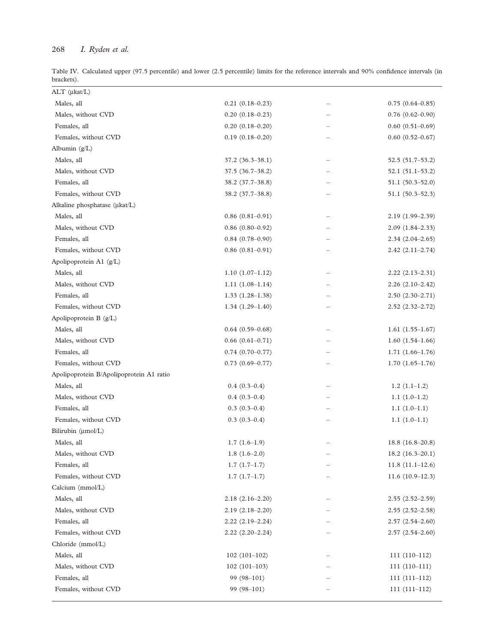|            | Table IV. Calculated upper (97.5 percentile) and lower (2.5 percentile) limits for the reference intervals and 90% confidence intervals (in |  |  |  |  |  |
|------------|---------------------------------------------------------------------------------------------------------------------------------------------|--|--|--|--|--|
| brackets). |                                                                                                                                             |  |  |  |  |  |

| ALT (µkat/L)                             |                     |                        |
|------------------------------------------|---------------------|------------------------|
| Males, all                               | $0.21(0.18-0.23)$   | $0.75(0.64-0.85)$      |
| Males, without CVD                       | $0.20(0.18-0.23)$   | $0.76$ $(0.62 - 0.90)$ |
| Females, all                             | $0.20(0.18 - 0.20)$ | $0.60(0.51-0.69)$      |
| Females, without CVD                     | $0.19(0.18-0.20)$   | $0.60(0.52-0.67)$      |
| Albumin $(g/L)$                          |                     |                        |
| Males, all                               | $37.2(36.3-38.1)$   | 52.5 (51.7–53.2)       |
| Males, without CVD                       | 37.5 (36.7–38.2)    | 52.1 (51.1–53.2)       |
| Females, all                             | 38.2 (37.7–38.8)    | $51.1(50.3 - 52.0)$    |
| Females, without CVD                     | 38.2 (37.7–38.8)    | $51.1(50.3-52.3)$      |
| Alkaline phosphatase (µkat/L)            |                     |                        |
| Males, all                               | $0.86(0.81-0.91)$   | $2.19(1.99-2.39)$      |
| Males, without CVD                       | $0.86(0.80-0.92)$   | $2.09(1.84-2.33)$      |
| Females, all                             | $0.84(0.78-0.90)$   | $2.34(2.04-2.65)$      |
| Females, without CVD                     | $0.86(0.81-0.91)$   | $2.42(2.11 - 2.74)$    |
| Apolipoprotein A1 (g/L)                  |                     |                        |
| Males, all                               | $1.10(1.07-1.12)$   | $2.22(2.13-2.31)$      |
| Males, without CVD                       | $1.11(1.08-1.14)$   | $2.26(2.10-2.42)$      |
| Females, all                             | $1.33(1.28-1.38)$   | $2.50(2.30-2.71)$      |
| Females, without CVD                     | $1.34(1.29-1.40)$   | $2.52(2.32 - 2.72)$    |
| Apolipoprotein $B(g/L)$                  |                     |                        |
| Males, all                               | $0.64(0.59-0.68)$   | $1.61(1.55-1.67)$      |
| Males, without CVD                       | $0.66(0.61-0.71)$   | $1.60(1.54-1.66)$      |
| Females, all                             | $0.74(0.70-0.77)$   | $1.71(1.66-1.76)$      |
| Females, without CVD                     | $0.73(0.69 - 0.77)$ | $1.70(1.65-1.76)$      |
| Apolipoprotein B/Apolipoprotein A1 ratio |                     |                        |
| Males, all                               | $0.4(0.3-0.4)$      | $1.2(1.1-1.2)$         |
| Males, without CVD                       | $0.4(0.3-0.4)$      | $1.1(1.0-1.2)$         |
| Females, all                             | $0.3(0.3-0.4)$      | $1.1(1.0-1.1)$         |
| Females, without CVD                     | $0.3(0.3-0.4)$      | $1.1(1.0-1.1)$         |
| Bilirubin (µmol/L)                       |                     |                        |
| Males, all                               | $1.7(1.6-1.9)$      | $18.8(16.8-20.8)$      |
| Males, without CVD                       | $1.8(1.6-2.0)$      | $18.2(16.3-20.1)$      |
| Females, all                             | $1.7(1.7-1.7)$      | $11.8(11.1-12.6)$      |
| Females, without CVD                     | $1.7(1.7-1.7)$      | $11.6(10.9-12.3)$      |
| Calcium (mmol/L)                         |                     |                        |
| Males, all                               | $2.18(2.16 - 2.20)$ | $2.55(2.52-2.59)$      |
| Males, without CVD                       | $2.19(2.18 - 2.20)$ | $2.55(2.52-2.58)$      |
| Females, all                             | 2.22 (2.19–2.24)    | $2.57(2.54-2.60)$      |
| Females, without CVD                     | $2.22(2.20-2.24)$   | $2.57(2.54 - 2.60)$    |
| Chloride (mmol/L)                        |                     |                        |
| Males, all                               | $102(101-102)$      | $111(110-112)$         |
| Males, without CVD                       | $102(101-103)$      | $111(110-111)$         |
| Females, all                             | 99 (98–101)         | $111(111-112)$         |
| Females, without CVD                     | 99 (98–101)         | $111(111-112)$         |
|                                          |                     |                        |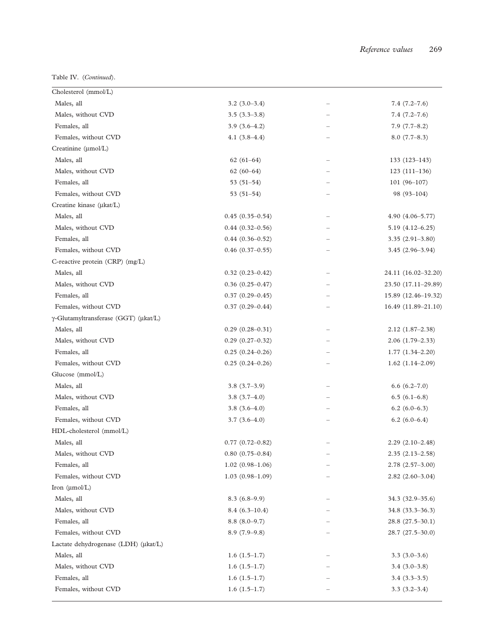Table IV. (Continued).

| Cholesterol (mmol/L)                 |                     |                      |
|--------------------------------------|---------------------|----------------------|
| Males, all                           | $3.2(3.0-3.4)$      | $7.4(7.2-7.6)$       |
| Males, without CVD                   | $3.5(3.3-3.8)$      | $7.4(7.2-7.6)$       |
| Females, all                         | $3.9(3.6-4.2)$      | $7.9(7.7-8.2)$       |
| Females, without CVD                 | 4.1 $(3.8-4.4)$     | $8.0(7.7-8.3)$       |
| Creatinine (µmol/L)                  |                     |                      |
| Males, all                           | $62(61-64)$         | $133(123-143)$       |
| Males, without CVD                   | $62(60-64)$         | $123(111-136)$       |
| Females, all                         | $53(51-54)$         | $101(96-107)$        |
| Females, without CVD                 | 53 (51–54)          | $98(93-104)$         |
| Creatine kinase (µkat/L)             |                     |                      |
| Males, all                           | $0.45(0.35-0.54)$   | $4.90(4.06 - 5.77)$  |
| Males, without CVD                   | $0.44(0.32-0.56)$   | $5.19(4.12 - 6.25)$  |
| Females, all                         | $0.44(0.36-0.52)$   | $3.35(2.91-3.80)$    |
| Females, without CVD                 | $0.46(0.37-0.55)$   | $3.45(2.96-3.94)$    |
| C-reactive protein (CRP) (mg/L)      |                     |                      |
| Males, all                           | $0.32(0.23 - 0.42)$ | 24.11 (16.02-32.20)  |
| Males, without CVD                   | $0.36(0.25-0.47)$   | 23.50 (17.11–29.89)  |
| Females, all                         | $0.37(0.29 - 0.45)$ | 15.89 (12.46–19.32)  |
| Females, without CVD                 | $0.37(0.29 - 0.44)$ | $16.49(11.89-21.10)$ |
| γ-Glutamyltransferase (GGT) (μkat/L) |                     |                      |
| Males, all                           | $0.29(0.28-0.31)$   | $2.12(1.87-2.38)$    |
| Males, without CVD                   | $0.29(0.27-0.32)$   | $2.06(1.79-2.33)$    |
| Females, all                         | $0.25(0.24 - 0.26)$ | $1.77(1.34 - 2.20)$  |
| Females, without CVD                 | $0.25(0.24 - 0.26)$ | $1.62(1.14-2.09)$    |
| Glucose (mmol/L)                     |                     |                      |
| Males, all                           | $3.8(3.7-3.9)$      | 6.6(6.2–7.0)         |
| Males, without CVD                   | $3.8(3.7-4.0)$      | $6.5(6.1-6.8)$       |
| Females, all                         | $3.8(3.6-4.0)$      | $6.2(6.0-6.3)$       |
| Females, without CVD                 | $3.7(3.6-4.0)$      | $6.2(6.0-6.4)$       |
| HDL-cholesterol (mmol/L)             |                     |                      |
| Males, all                           | $0.77(0.72-0.82)$   | $2.29(2.10-2.48)$    |
| Males, without CVD                   | $0.80(0.75-0.84)$   | $2.35(2.13 - 2.58)$  |
| Females, all                         | $1.02(0.98-1.06)$   | $2.78(2.57-3.00)$    |
| Females, without CVD                 | $1.03(0.98-1.09)$   | $2.82(2.60-3.04)$    |
| Iron $(\mu \text{mol/L})$            |                     |                      |
| Males, all                           | $8.3(6.8-9.9)$      | 34.3 (32.9–35.6)     |
| Males, without CVD                   | $8.4(6.3-10.4)$     | $34.8(33.3-36.3)$    |
| Females, all                         | $8.8(8.0-9.7)$      | $28.8(27.5-30.1)$    |
| Females, without CVD                 | $8.9(7.9-9.8)$      | 28.7 (27.5–30.0)     |
| Lactate dehydrogenase (LDH) (µkat/L) |                     |                      |
| Males, all                           | $1.6(1.5-1.7)$      | $3.3(3.0-3.6)$       |
| Males, without CVD                   | $1.6(1.5-1.7)$      | $3.4(3.0-3.8)$       |
| Females, all                         | $1.6(1.5-1.7)$      | $3.4(3.3-3.5)$       |
| Females, without CVD                 | $1.6(1.5-1.7)$      | $3.3(3.2-3.4)$       |
|                                      |                     |                      |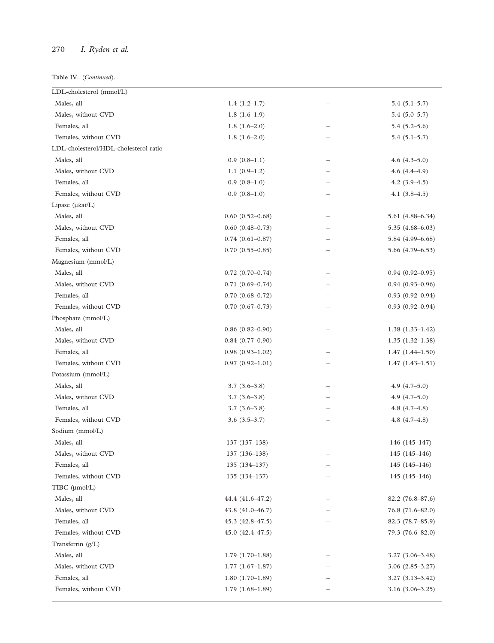Table IV. (Continued).

| LDL-cholesterol (mmol/L)              |                        |                 |                      |
|---------------------------------------|------------------------|-----------------|----------------------|
| Males, all                            | $1.4(1.2-1.7)$         | $\qquad \qquad$ | $5.4(5.1-5.7)$       |
| Males, without CVD                    | $1.8(1.6-1.9)$         |                 | $5.4(5.0-5.7)$       |
| Females, all                          | $1.8(1.6-2.0)$         |                 | $5.4(5.2-5.6)$       |
| Females, without CVD                  | $1.8(1.6-2.0)$         |                 | $5.4(5.1-5.7)$       |
| LDL-cholesterol/HDL-cholesterol ratio |                        |                 |                      |
| Males, all                            | $0.9(0.8-1.1)$         |                 | 4.6 $(4.3-5.0)$      |
| Males, without CVD                    | $1.1(0.9-1.2)$         |                 | 4.6 $(4.4-4.9)$      |
| Females, all                          | $0.9(0.8-1.0)$         |                 | $4.2(3.9-4.5)$       |
| Females, without CVD                  | $0.9(0.8-1.0)$         |                 | $4.1(3.8-4.5)$       |
| Lipase (µkat/L)                       |                        |                 |                      |
| Males, all                            | $0.60(0.52-0.68)$      |                 | 5.61 (4.88–6.34)     |
| Males, without CVD                    | $0.60$ $(0.48 - 0.73)$ |                 | 5.35 (4.68–6.03)     |
| Females, all                          | $0.74(0.61 - 0.87)$    |                 | 5.84 (4.99–6.68)     |
| Females, without CVD                  | $0.70(0.55-0.85)$      |                 | 5.66 (4.79–6.53)     |
| Magnesium (mmol/L)                    |                        |                 |                      |
| Males, all                            | $0.72(0.70-0.74)$      |                 | $0.94(0.92-0.95)$    |
| Males, without CVD                    | $0.71(0.69 - 0.74)$    |                 | $0.94(0.93-0.96)$    |
| Females, all                          | $0.70(0.68 - 0.72)$    |                 | $0.93(0.92-0.94)$    |
| Females, without CVD                  | $0.70(0.67-0.73)$      |                 | $0.93(0.92-0.94)$    |
| Phosphate (mmol/L)                    |                        |                 |                      |
| Males, all                            | $0.86(0.82 - 0.90)$    |                 | $1.38(1.33 - 1.42)$  |
| Males, without CVD                    | $0.84(0.77-0.90)$      |                 | $1.35(1.32-1.38)$    |
| Females, all                          | $0.98(0.93-1.02)$      |                 | $1.47(1.44-1.50)$    |
| Females, without CVD                  | $0.97(0.92 - 1.01)$    |                 | $1.47(1.43-1.51)$    |
| Potassium (mmol/L)                    |                        |                 |                      |
| Males, all                            | $3.7(3.6-3.8)$         |                 | $4.9(4.7-5.0)$       |
| Males, without CVD                    | $3.7(3.6-3.8)$         |                 | $4.9(4.7-5.0)$       |
| Females, all                          | $3.7(3.6-3.8)$         |                 | 4.8 $(4.7-4.8)$      |
| Females, without CVD                  | $3.6(3.5-3.7)$         |                 | $4.8(4.7-4.8)$       |
| Sodium (mmol/L)                       |                        |                 |                      |
| Males, all                            | $137(137-138)$         |                 | $146(145-147)$       |
| Males, without CVD                    | 137 (136-138)          |                 | $145(145-146)$       |
| Females, all                          | $135(134-137)$         |                 | $145(145-146)$       |
| Females, without CVD                  | $135(134-137)$         |                 | $145(145-146)$       |
| TIBC (µmol/L)                         |                        |                 |                      |
| Males, all                            | 44.4 (41.6–47.2)       |                 | $82.2(76.8-87.6)$    |
| Males, without CVD                    | $43.8(41.0-46.7)$      |                 | 76.8 (71.6–82.0)     |
| Females, all                          | $45.3(42.8 - 47.5)$    |                 | 82.3(78.7–85.9)      |
| Females, without CVD                  | 45.0 (42.4–47.5)       |                 | 79.3 (76.6-82.0)     |
| Transferrin (g/L)                     |                        |                 |                      |
| Males, all                            | $1.79(1.70-1.88)$      |                 | $3.27(3.06-3.48)$    |
| Males, without CVD                    | $1.77(1.67-1.87)$      |                 | $3.06$ $(2.85-3.27)$ |
| Females, all                          | $1.80(1.70-1.89)$      |                 | $3.27(3.13 - 3.42)$  |
| Females, without CVD                  | $1.79(1.68-1.89)$      |                 | $3.16(3.06-3.25)$    |
|                                       |                        |                 |                      |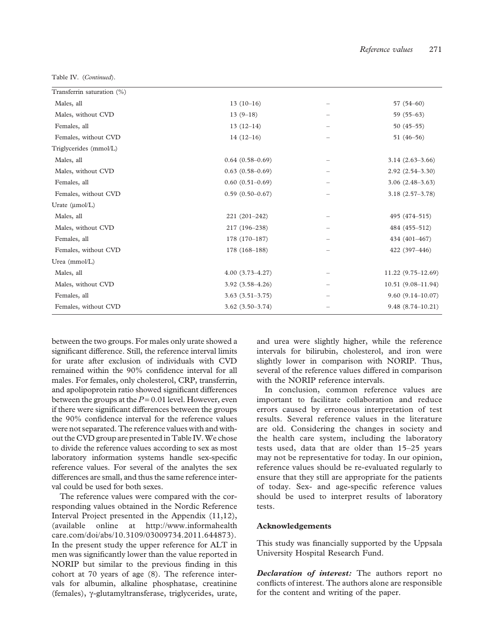Table IV. (Continued).

| Transferrin saturation (%) |                     |                      |
|----------------------------|---------------------|----------------------|
| Males, all                 | $13(10-16)$         | $57(54-60)$          |
| Males, without CVD         | $13(9-18)$          | $59(55-63)$          |
| Females, all               | $13(12-14)$         | $50(45-55)$          |
| Females, without CVD       | $14(12-16)$         | $51(46-56)$          |
| Triglycerides (mmol/L)     |                     |                      |
| Males, all                 | $0.64(0.58-0.69)$   | $3.14(2.63-3.66)$    |
| Males, without CVD         | $0.63(0.58-0.69)$   | $2.92(2.54 - 3.30)$  |
| Females, all               | $0.60(0.51-0.69)$   | $3.06(2.48-3.63)$    |
| Females, without CVD       | $0.59(0.50-0.67)$   | $3.18(2.57-3.78)$    |
| Urate $(\mu \text{mol/L})$ |                     |                      |
| Males, all                 | $221(201-242)$      | 495 (474-515)        |
| Males, without CVD         | 217 (196-238)       | 484 (455-512)        |
| Females, all               | 178 (170-187)       | 434 (401-467)        |
| Females, without CVD       | 178 (168-188)       | 422 (397-446)        |
| Urea (mmol/L)              |                     |                      |
| Males, all                 | $4.00(3.73 - 4.27)$ | $11.22(9.75-12.69)$  |
| Males, without CVD         | $3.92(3.58 - 4.26)$ | 10.51 (9.08-11.94)   |
| Females, all               | $3.63(3.51 - 3.75)$ | $9.60(9.14-10.07)$   |
| Females, without CVD       | $3.62(3.50-3.74)$   | $9.48(8.74 - 10.21)$ |

between the two groups. For males only urate showed a significant difference. Still, the reference interval limits for urate after exclusion of individuals with CVD remained within the 90% confidence interval for all males. For females, only cholesterol, CRP, transferrin, and apolipoprotein ratio showed significant differences between the groups at the  $P = 0.01$  level. However, even if there were significant differences between the groups the 90% confidence interval for the reference values were not separated. The reference values with and without the CVD group are presented in Table IV.We chose to divide the reference values according to sex as most laboratory information systems handle sex-specific reference values. For several of the analytes the sex differences are small, and thus the same reference interval could be used for both sexes.

The reference values were compared with the corresponding values obtained in the Nordic Reference Interval Project presented in the Appendix (11,12), (available online at http://www.informahealth care.com/doi/abs/10.3109/03009734.2011.644873). In the present study the upper reference for ALT in men was significantly lower than the value reported in NORIP but similar to the previous finding in this cohort at 70 years of age (8). The reference intervals for albumin, alkaline phosphatase, creatinine (females), g-glutamyltransferase, triglycerides, urate,

and urea were slightly higher, while the reference intervals for bilirubin, cholesterol, and iron were slightly lower in comparison with NORIP. Thus, several of the reference values differed in comparison with the NORIP reference intervals.

In conclusion, common reference values are important to facilitate collaboration and reduce errors caused by erroneous interpretation of test results. Several reference values in the literature are old. Considering the changes in society and the health care system, including the laboratory tests used, data that are older than 15–25 years may not be representative for today. In our opinion, reference values should be re-evaluated regularly to ensure that they still are appropriate for the patients of today. Sex- and age-specific reference values should be used to interpret results of laboratory tests.

#### Acknowledgements

This study was financially supported by the Uppsala University Hospital Research Fund.

Declaration of interest: The authors report no conflicts of interest. The authors alone are responsible for the content and writing of the paper.